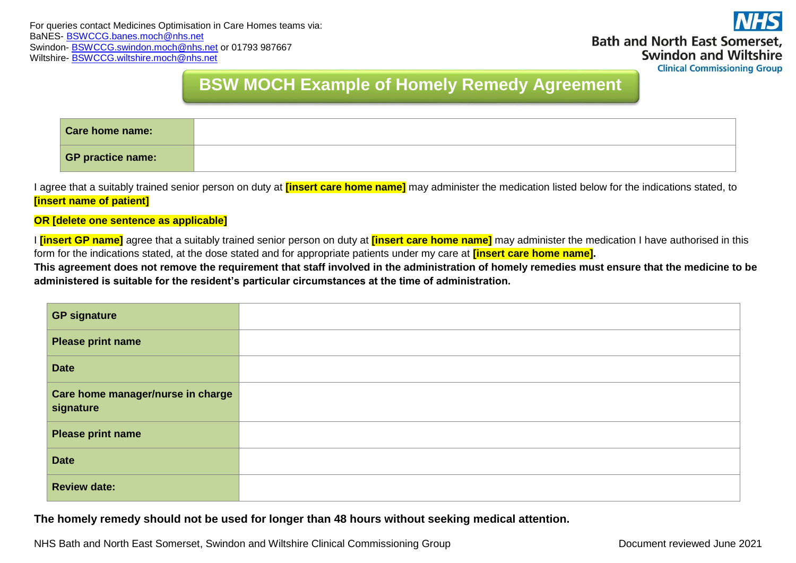

**Clinical Commissioning Group** 

## **BSW MOCH Example of Homely Remedy Agreement**

**Form**

| Care home name:          |  |
|--------------------------|--|
| <b>GP practice name:</b> |  |

I agree that a suitably trained senior person on duty at **[insert care home name]** may administer the medication listed below for the indications stated, to **[insert name of patient]**

**OR [delete one sentence as applicable]**

I **[insert GP name]** agree that a suitably trained senior person on duty at **[insert care home name]** may administer the medication I have authorised in this form for the indications stated, at the dose stated and for appropriate patients under my care at **[insert care home name].** 

**This agreement does not remove the requirement that staff involved in the administration of homely remedies must ensure that the medicine to be administered is suitable for the resident's particular circumstances at the time of administration.**

| <b>GP signature</b>                            |  |
|------------------------------------------------|--|
| <b>Please print name</b>                       |  |
| <b>Date</b>                                    |  |
| Care home manager/nurse in charge<br>signature |  |
| <b>Please print name</b>                       |  |
| <b>Date</b>                                    |  |
| <b>Review date:</b>                            |  |

**The homely remedy should not be used for longer than 48 hours without seeking medical attention.**

NHS Bath and North East Somerset, Swindon and Wiltshire Clinical Commissioning Group Document reviewed June 2021